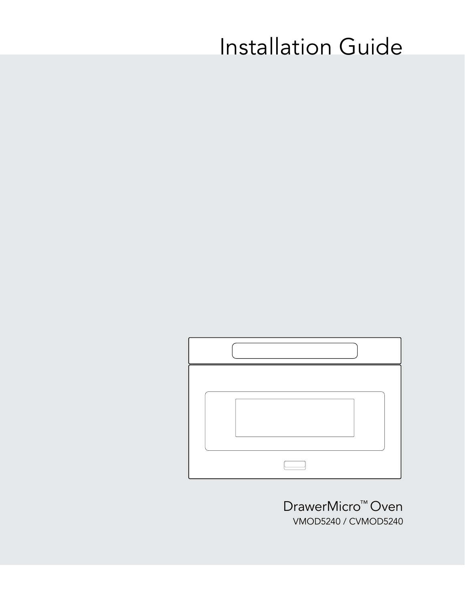# Installation Guide



DrawerMicro™ Oven VMOD5240 / CVMOD5240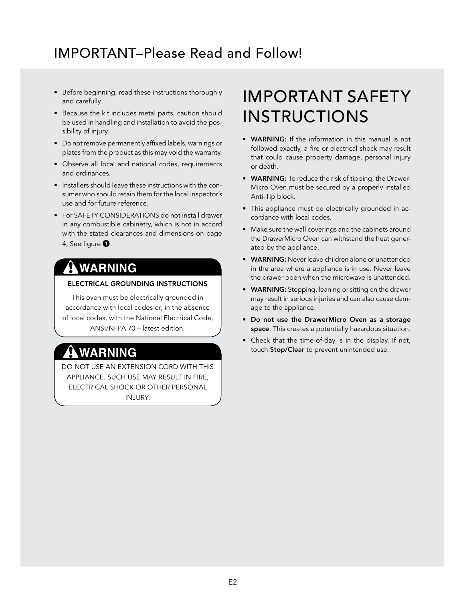#### IMPORTANT–Please Read and Follow!

- Before beginning, read these instructions thoroughly and carefully.
- Because the kit includes metal parts, caution should be used in handling and installation to avoid the possibility of injury.
- Do not remove permanently affixed labels, warnings or plates from the product as this may void the warranty.
- Observe all local and national codes, requirements and ordinances.
- Installers should leave these instructions with the consumer who should retain them for the local inspector's use and for future reference.
- For SAFETY CONSIDERATIONS do not install drawer in any combustible cabinetry, which is not in accord with the stated clearances and dimensions on page 4, See figure  $\mathbf{0}$ .

#### **WARNING**

#### ELECTRICAL GROUNDING INSTRUCTIONS

This oven must be electrically grounded in accordance with local codes or, in the absence of local codes, with the National Electrical Code, ANSI/NFPA 70 – latest edition.

### AWARNING

DO NOT USE AN EXTENSION CORD WITH THIS APPLIANCE. SUCH USE MAY RESULT IN FIRE, ELECTRICAL SHOCK OR OTHER PERSONAL INJURY.

## IMPORTANT SAFETY INSTRUCTIONS

- WARNING: If the information in this manual is not followed exactly, a fire or electrical shock may result that could cause property damage, personal injury or death.
- WARNING: To reduce the risk of tipping, the Drawer-Micro Oven must be secured by a properly installed Anti-Tip block.
- This appliance must be electrically grounded in accordance with local codes.
- Make sure the wall coverings and the cabinets around the DrawerMicro Oven can withstand the heat generated by the appliance.
- WARNING: Never leave children alone or unattended in the area where a appliance is in use. Never leave the drawer open when the microwave is unattended.
- WARNING: Stepping, leaning or sitting on the drawer may result in serious injuries and can also cause damage to the appliance.
- Do not use the DrawerMicro Oven as a storage space. This creates a potentially hazardous situation.
- Check that the time-of-day is in the display. If not, touch Stop/Clear to prevent unintended use.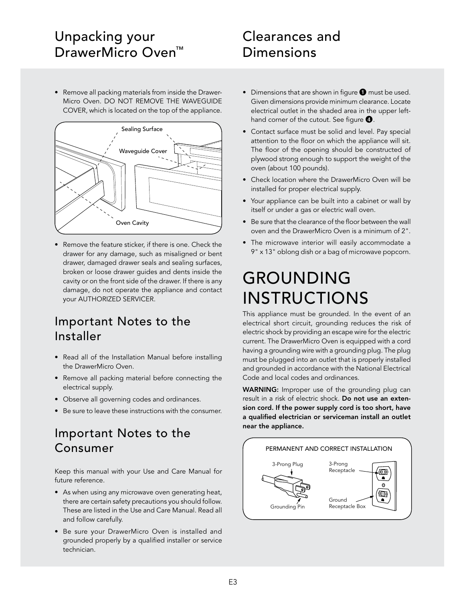#### Unpacking your DrawerMicro Oven<sup>™</sup>

### Clearances and Dimensions

• Remove all packing materials from inside the Drawer-Micro Oven. DO NOT REMOVE THE WAVEGUIDE COVER, which is located on the top of the appliance.



• Remove the feature sticker, if there is one. Check the drawer for any damage, such as misaligned or bent drawer, damaged drawer seals and sealing surfaces, broken or loose drawer guides and dents inside the cavity or on the front side of the drawer. If there is any damage, do not operate the appliance and contact your AUTHORIZED SERVICER.

#### Important Notes to the Installer

- Read all of the Installation Manual before installing the DrawerMicro Oven.
- Remove all packing material before connecting the electrical supply.
- Observe all governing codes and ordinances.
- Be sure to leave these instructions with the consumer.

#### Important Notes to the Consumer

Keep this manual with your Use and Care Manual for future reference.

- As when using any microwave oven generating heat, there are certain safety precautions you should follow. These are listed in the Use and Care Manual. Read all and follow carefully.
- Be sure your DrawerMicro Oven is installed and grounded properly by a qualified installer or service technician.
- $\bullet$  Dimensions that are shown in figure  $\bullet$  must be used. Given dimensions provide minimum clearance. Locate electrical outlet in the shaded area in the upper lefthand corner of the cutout. See figure  $\mathbf 0$ .
- Contact surface must be solid and level. Pay special attention to the floor on which the appliance will sit. The floor of the opening should be constructed of plywood strong enough to support the weight of the oven (about 100 pounds).
- Check location where the DrawerMicro Oven will be installed for proper electrical supply.
- Your appliance can be built into a cabinet or wall by itself or under a gas or electric wall oven.
- Be sure that the clearance of the floor between the wall oven and the DrawerMicro Oven is a minimum of 2".
- The microwave interior will easily accommodate a 9" x 13" oblong dish or a bag of microwave popcorn.

## GROUNDING INSTRUCTIONS

This appliance must be grounded. In the event of an electrical short circuit, grounding reduces the risk of electric shock by providing an escape wire for the electric current. The DrawerMicro Oven is equipped with a cord having a grounding wire with a grounding plug. The plug must be plugged into an outlet that is properly installed and grounded in accordance with the National Electrical Code and local codes and ordinances.

WARNING: Improper use of the grounding plug can result in a risk of electric shock. Do not use an extension cord. If the power supply cord is too short, have a qualified electrician or serviceman install an outlet near the appliance.

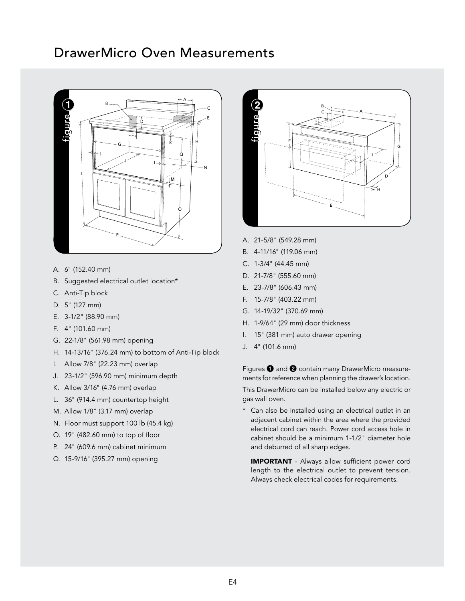#### DrawerMicro Oven Measurements



- A. 6" (152.40 mm)
- B. Suggested electrical outlet location\*
- C. Anti-Tip block
- D. 5" (127 mm)
- E. 3-1/2" (88.90 mm)
- F. 4" (101.60 mm)
- G. 22-1/8" (561.98 mm) opening
- H. 14-13/16" (376.24 mm) to bottom of Anti-Tip block
- I. Allow 7/8" (22.23 mm) overlap
- J. 23-1/2" (596.90 mm) minimum depth
- K. Allow 3/16" (4.76 mm) overlap
- L. 36" (914.4 mm) countertop height
- M. Allow 1/8" (3.17 mm) overlap
- N. Floor must support 100 lb (45.4 kg)
- O. 19" (482.60 mm) to top of floor
- P. 24" (609.6 mm) cabinet minimum
- Q. 15-9/16" (395.27 mm) opening



- A. 21-5/8" (549.28 mm)
- B. 4-11/16" (119.06 mm)
- C. 1-3/4" (44.45 mm)
- D. 21-7/8" (555.60 mm)
- E. 23-7/8" (606.43 mm)
- F. 15-7/8" (403.22 mm)
- G. 14-19/32" (370.69 mm)
- H. 1-9/64" (29 mm) door thickness
- I. 15" (381 mm) auto drawer opening
- J. 4" (101.6 mm)

Figures  $\bigcirc$  and  $\bigcirc$  contain many DrawerMicro measurements for reference when planning the drawer's location.

This DrawerMicro can be installed below any electric or gas wall oven.

\* Can also be installed using an electrical outlet in an adjacent cabinet within the area where the provided electrical cord can reach. Power cord access hole in cabinet should be a minimum 1-1/2" diameter hole and deburred of all sharp edges.

IMPORTANT - Always allow sufficient power cord length to the electrical outlet to prevent tension. Always check electrical codes for requirements.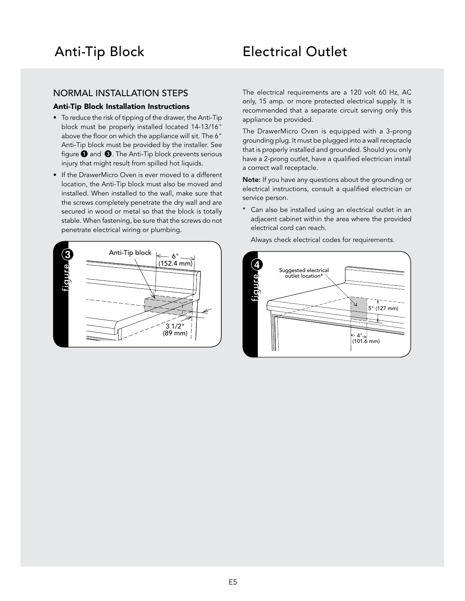#### Anti-Tip Block Electrical Outlet

#### NORMAL INSTALLATION STEPS

#### Anti-Tip Block Installation Instructions

- To reduce the risk of tipping of the drawer, the Anti-Tip block must be properly installed located 14-13/16" above the floor on which the appliance will sit. The 6" Anti-Tip block must be provided by the installer. See figure  $\bigcirc$  and  $\bigcirc$ . The Anti-Tip block prevents serious injury that might result from spilled hot liquids.
- If the DrawerMicro Oven is ever moved to a different location, the Anti-Tip block must also be moved and installed. When installed to the wall, make sure that the screws completely penetrate the dry wall and are secured in wood or metal so that the block is totally stable. When fastening, be sure that the screws do not penetrate electrical wiring or plumbing.



The electrical requirements are a 120 volt 60 Hz, AC only, 15 amp. or more protected electrical supply. It is recommended that a separate circuit serving only this appliance be provided.

The DrawerMicro Oven is equipped with a 3-prong grounding plug. It must be plugged into a wall receptacle that is properly installed and grounded. Should you only have a 2-prong outlet, have a qualified electrician install a correct wall receptacle.

Note: If you have any questions about the grounding or electrical instructions, consult a qualified electrician or service person.

\* Can also be installed using an electrical outlet in an adjacent cabinet within the area where the provided electrical cord can reach.

Always check electrical codes for requirements.

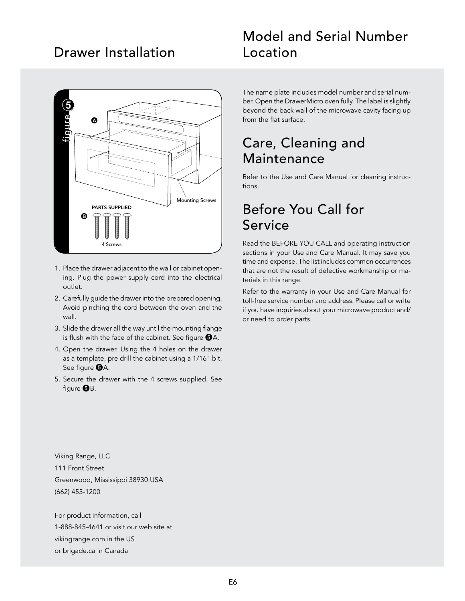#### Drawer Installation



- 1. Place the drawer adjacent to the wall or cabinet opening. Plug the power supply cord into the electrical outlet.
- 2. Carefully guide the drawer into the prepared opening. Avoid pinching the cord between the oven and the wall.
- 3. Slide the drawer all the way until the mounting flange is flush with the face of the cabinet. See figure  $\bigoplus A$ .
- 4. Open the drawer. Using the 4 holes on the drawer as a template, pre drill the cabinet using a 1/16" bit. See figure  $\bigoplus A$ .
- 5. Secure the drawer with the 4 screws supplied. See figure  $\bigoplus B$ .

#### Model and Serial Number Location

The name plate includes model number and serial number. Open the DrawerMicro oven fully. The label is slightly beyond the back wall of the microwave cavity facing up from the flat surface.

#### Care, Cleaning and **Maintenance**

Refer to the Use and Care Manual for cleaning instructions.

#### Before You Call for Service

Read the BEFORE YOU CALL and operating instruction sections in your Use and Care Manual. It may save you time and expense. The list includes common occurrences that are not the result of defective workmanship or materials in this range.

Refer to the warranty in your Use and Care Manual for toll-free service number and address. Please call or write if you have inquiries about your microwave product and/ or need to order parts.

Viking Range, LLC 111 Front Street Greenwood, Mississippi 38930 USA (662) 455-1200

For product information, call 1-888-845-4641 or visit our web site at vikingrange.com in the US or brigade.ca in Canada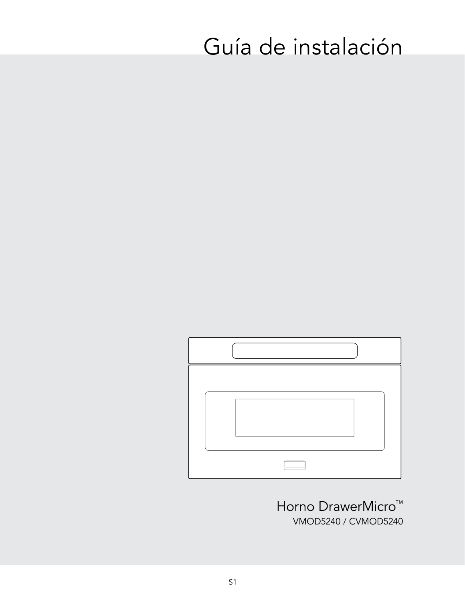# Guía de instalación



Horno DrawerMicro<sup>™</sup> VMOD5240 / CVMOD5240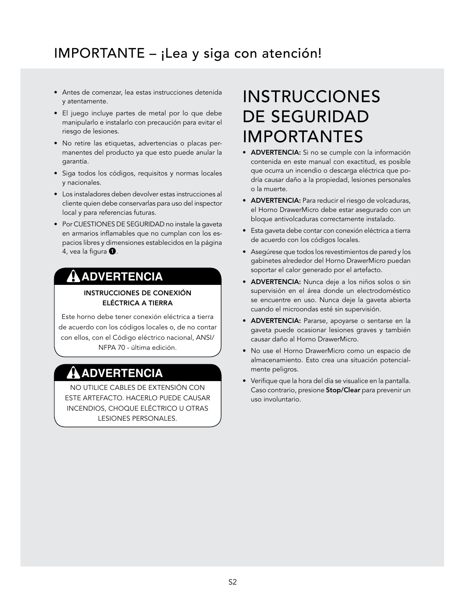## IMPORTANTE – ¡Lea y siga con atención!

- Antes de comenzar, lea estas instrucciones detenida y atentamente.
- El juego incluye partes de metal por lo que debe manipularlo e instalarlo con precaución para evitar el riesgo de lesiones.
- No retire las etiquetas, advertencias o placas permanentes del producto ya que esto puede anular la garantía.
- Siga todos los códigos, requisitos y normas locales y nacionales.
- Los instaladores deben devolver estas instrucciones al cliente quien debe conservarlas para uso del inspector local y para referencias futuras.
- Por CUESTIONES DE SEGURIDAD no instale la gaveta en armarios inflamables que no cumplan con los espacios libres y dimensiones establecidos en la página 4, vea la figura  $\mathbf{0}$ .

#### **ADVERTENCIA**

INSTRUCCIONES DE CONEXIÓN ELÉCTRICA A TIERRA

Este horno debe tener conexión eléctrica a tierra de acuerdo con los códigos locales o, de no contar con ellos, con el Código eléctrico nacional, ANSI/ NFPA 70 - última edición.

#### **ADVERTENCIA**

NO UTILICE CABLES DE EXTENSIÓN CON ESTE ARTEFACTO. HACERLO PUEDE CAUSAR INCENDIOS, CHOQUE ELÉCTRICO U OTRAS LESIONES PERSONALES.

## INSTRUCCIONES DE SEGURIDAD IMPORTANTES

- ADVERTENCIA: Si no se cumple con la información contenida en este manual con exactitud, es posible que ocurra un incendio o descarga eléctrica que podría causar daño a la propiedad, lesiones personales o la muerte.
- ADVERTENCIA: Para reducir el riesgo de volcaduras, el Horno DrawerMicro debe estar asegurado con un bloque antivolcaduras correctamente instalado.
- Esta gaveta debe contar con conexión eléctrica a tierra de acuerdo con los códigos locales.
- Asegúrese que todos los revestimientos de pared y los gabinetes alrededor del Horno DrawerMicro puedan soportar el calor generado por el artefacto.
- ADVERTENCIA: Nunca deje a los niños solos o sin supervisión en el área donde un electrodoméstico se encuentre en uso. Nunca deje la gaveta abierta cuando el microondas esté sin supervisión.
- ADVERTENCIA: Pararse, apoyarse o sentarse en la gaveta puede ocasionar lesiones graves y también causar daño al Horno DrawerMicro.
- No use el Horno DrawerMicro como un espacio de almacenamiento. Esto crea una situación potencialmente peligros.
- Verifique que la hora del día se visualice en la pantalla. Caso contrario, presione Stop/Clear para prevenir un uso involuntario.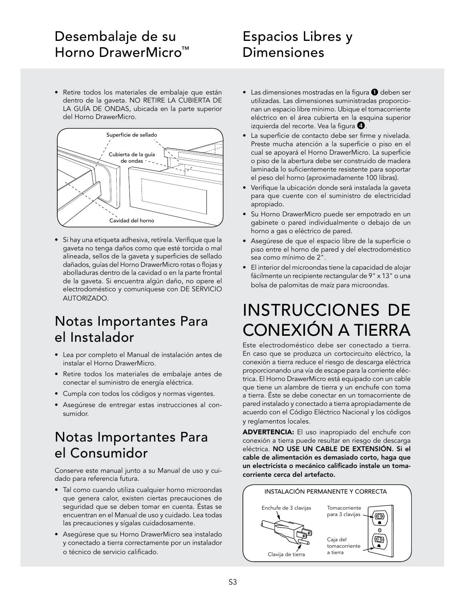#### Desembalaje de su Horno DrawerMicro™

#### • Retire todos los materiales de embalaje que están dentro de la gaveta. NO RETIRE LA CUBIERTA DE LA GUÍA DE ONDAS, ubicada en la parte superior del Horno DrawerMicro.



• Si hay una etiqueta adhesiva, retírela. Verifique que la gaveta no tenga daños como que esté torcida o mal alineada, sellos de la gaveta y superficies de sellado dañados, guías del Horno DrawerMicro rotas o flojas y abolladuras dentro de la cavidad o en la parte frontal de la gaveta. Si encuentra algún daño, no opere el electrodoméstico y comuníquese con DE SERVICIO AUTORIZADO.

### Notas Importantes Para el Instalador

- Lea por completo el Manual de instalación antes de instalar el Horno DrawerMicro.
- Retire todos los materiales de embalaje antes de conectar el suministro de energía eléctrica.
- Cumpla con todos los códigos y normas vigentes.
- Asegúrese de entregar estas instrucciones al consumidor.

## Notas Importantes Para el Consumidor

Conserve este manual junto a su Manual de uso y cuidado para referencia futura.

- Tal como cuando utiliza cualquier horno microondas que genera calor, existen ciertas precauciones de seguridad que se deben tomar en cuenta. Éstas se encuentran en el Manual de uso y cuidado. Lea todas las precauciones y sígalas cuidadosamente.
- Asegúrese que su Horno DrawerMicro sea instalado y conectado a tierra correctamente por un instalador o técnico de servicio calificado.

### Espacios Libres y Dimensiones

- $\bullet$  Las dimensiones mostradas en la figura  $\bullet$  deben ser utilizadas. Las dimensiones suministradas proporcionan un espacio libre mínimo. Ubique el tomacorriente eléctrico en el área cubierta en la esquina superior izquierda del recorte. Vea la figura 4.
- La superficie de contacto debe ser firme y nivelada. Preste mucha atención a la superficie o piso en el cual se apoyará el Horno DrawerMicro. La superficie o piso de la abertura debe ser construido de madera laminada lo suficientemente resistente para soportar el peso del horno (aproximadamente 100 libras).
- Verifique la ubicación donde será instalada la gaveta para que cuente con el suministro de electricidad apropiado.
- Su Horno DrawerMicro puede ser empotrado en un gabinete o pared individualmente o debajo de un horno a gas o eléctrico de pared.
- Asegúrese de que el espacio libre de la superficie o piso entre el horno de pared y del electrodoméstico sea como mínimo de 2".
- El interior del microondas tiene la capacidad de alojar fácilmente un recipiente rectangular de 9" x 13" o una bolsa de palomitas de maíz para microondas.

## INSTRUCCIONES DE CONEXIÓN A TIERRA

Este electrodoméstico debe ser conectado a tierra. En caso que se produzca un cortocircuito eléctrico, la conexión a tierra reduce el riesgo de descarga eléctrica proporcionando una vía de escape para la corriente eléctrica. El Horno DrawerMicro está equipado con un cable que tiene un alambre de tierra y un enchufe con toma a tierra. Éste se debe conectar en un tomacorriente de pared instalado y conectado a tierra apropiadamente de acuerdo con el Código Eléctrico Nacional y los códigos y reglamentos locales.

ADVERTENCIA: El uso inapropiado del enchufe con conexión a tierra puede resultar en riesgo de descarga eléctrica. NO USE UN CABLE DE EXTENSIÓN. Si el cable de alimentación es demasiado corto, haga que un electricista o mecánico calificado instale un tomacorriente cerca del artefacto.

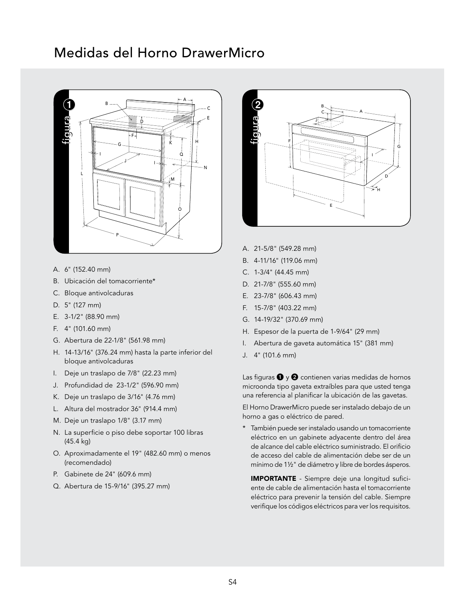#### Medidas del Horno DrawerMicro



- A. 6" (152.40 mm)
- B. Ubicación del tomacorriente\*
- C. Bloque antivolcaduras
- D. 5" (127 mm)
- E. 3-1/2" (88.90 mm)
- F. 4" (101.60 mm)
- G. Abertura de 22-1/8" (561.98 mm)
- H. 14-13/16" (376.24 mm) hasta la parte inferior del bloque antivolcaduras
- I. Deje un traslapo de 7/8" (22.23 mm)
- J. Profundidad de 23-1/2" (596.90 mm)
- K. Deje un traslapo de 3/16" (4.76 mm)
- L. Altura del mostrador 36" (914.4 mm)
- M. Deje un traslapo 1/8" (3.17 mm)
- N. La superficie o piso debe soportar 100 libras (45.4 kg)
- O. Aproximadamente el 19" (482.60 mm) o menos (recomendado)
- P. Gabinete de 24" (609.6 mm)
- Q. Abertura de 15-9/16" (395.27 mm)



- A. 21-5/8" (549.28 mm)
- B. 4-11/16" (119.06 mm)
- C. 1-3/4" (44.45 mm)
- D. 21-7/8" (555.60 mm)
- E. 23-7/8" (606.43 mm)
- F. 15-7/8" (403.22 mm)
- G. 14-19/32" (370.69 mm)
- H. Espesor de la puerta de 1-9/64" (29 mm)
- I. Abertura de gaveta automática 15" (381 mm)
- J. 4" (101.6 mm)

Las figuras  $\bigcirc$  y  $\bigcirc$  contienen varias medidas de hornos microonda tipo gaveta extraíbles para que usted tenga una referencia al planificar la ubicación de las gavetas.

El Horno DrawerMicro puede ser instalado debajo de un horno a gas o eléctrico de pared.

\* También puede ser instalado usando un tomacorriente eléctrico en un gabinete adyacente dentro del área de alcance del cable eléctrico suministrado. El orificio de acceso del cable de alimentación debe ser de un mínimo de 1½" de diámetro y libre de bordes ásperos.

IMPORTANTE - Siempre deje una longitud suficiente de cable de alimentación hasta el tomacorriente eléctrico para prevenir la tensión del cable. Siempre verifique los códigos eléctricos para ver los requisitos.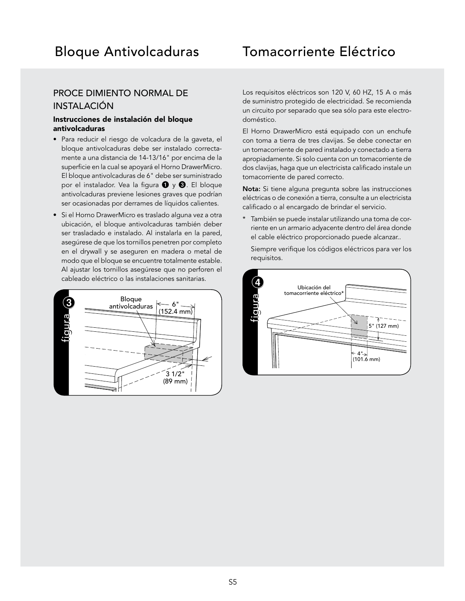#### Bloque Antivolcaduras Tomacorriente Eléctrico

#### PROCE DIMIENTO NORMAL DE INSTALACIÓN

#### Instrucciones de instalación del bloque antivolcaduras

- Para reducir el riesgo de volcadura de la gaveta, el bloque antivolcaduras debe ser instalado correctamente a una distancia de 14-13/16" por encima de la superficie en la cual se apoyará el Horno DrawerMicro. El bloque antivolcaduras de 6" debe ser suministrado por el instalador. Vea la figura  $\bigcirc$  y  $\bigcirc$ . El bloque antivolcaduras previene lesiones graves que podrían ser ocasionadas por derrames de líquidos calientes.
- Si el Horno DrawerMicro es traslado alguna vez a otra ubicación, el bloque antivolcaduras también deber ser trasladado e instalado. Al instalarla en la pared, asegúrese de que los tornillos penetren por completo en el drywall y se aseguren en madera o metal de modo que el bloque se encuentre totalmente estable. Al ajustar los tornillos asegúrese que no perforen el cableado eléctrico o las instalaciones sanitarias.



Los requisitos eléctricos son 120 V, 60 HZ, 15 A o más de suministro protegido de electricidad. Se recomienda un circuito por separado que sea sólo para este electrodoméstico.

El Horno DrawerMicro está equipado con un enchufe con toma a tierra de tres clavijas. Se debe conectar en un tomacorriente de pared instalado y conectado a tierra apropiadamente. Si solo cuenta con un tomacorriente de dos clavijas, haga que un electricista calificado instale un tomacorriente de pared correcto.

Nota: Si tiene alguna pregunta sobre las instrucciones eléctricas o de conexión a tierra, consulte a un electricista calificado o al encargado de brindar el servicio.

\* También se puede instalar utilizando una toma de corriente en un armario adyacente dentro del área donde el cable eléctrico proporcionado puede alcanzar..

Siempre verifique los códigos eléctricos para ver los requisitos.

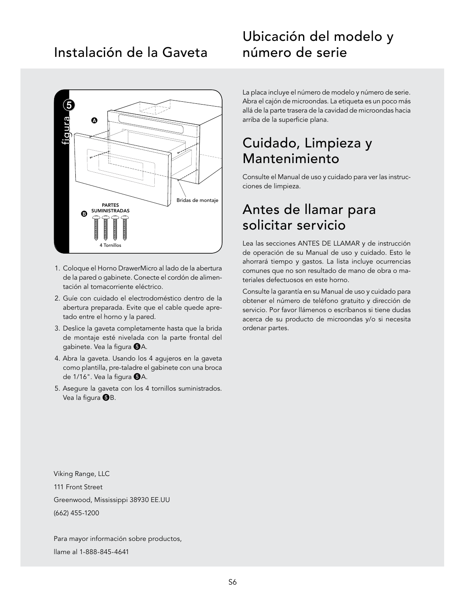#### Instalación de la Gaveta



- 1. Coloque el Horno DrawerMicro al lado de la abertura de la pared o gabinete. Conecte el cordón de alimentación al tomacorriente eléctrico.
- 2. Guíe con cuidado el electrodoméstico dentro de la abertura preparada. Evite que el cable quede apretado entre el horno y la pared.
- 3. Deslice la gaveta completamente hasta que la brida de montaje esté nivelada con la parte frontal del gabinete. Vea la figura  $\bigcirc$ A.
- 4. Abra la gaveta. Usando los 4 agujeros en la gaveta como plantilla, pre-taladre el gabinete con una broca de  $1/16$ ". Vea la figura  $\Theta$ A.
- 5. Asegure la gaveta con los 4 tornillos suministrados. Vea la figura  $\bigoplus B$ .

#### Ubicación del modelo y número de serie

La placa incluye el número de modelo y número de serie. Abra el cajón de microondas. La etiqueta es un poco más allá de la parte trasera de la cavidad de microondas hacia arriba de la superficie plana.

#### Cuidado, Limpieza y Mantenimiento

Consulte el Manual de uso y cuidado para ver las instrucciones de limpieza.

#### Antes de llamar para solicitar servicio

Lea las secciones ANTES DE LLAMAR y de instrucción de operación de su Manual de uso y cuidado. Esto le ahorrará tiempo y gastos. La lista incluye ocurrencias comunes que no son resultado de mano de obra o materiales defectuosos en este horno.

Consulte la garantía en su Manual de uso y cuidado para obtener el número de teléfono gratuito y dirección de servicio. Por favor llámenos o escríbanos si tiene dudas acerca de su producto de microondas y/o si necesita ordenar partes.

Viking Range, LLC 111 Front Street Greenwood, Mississippi 38930 EE.UU (662) 455-1200

Para mayor información sobre productos, llame al 1-888-845-4641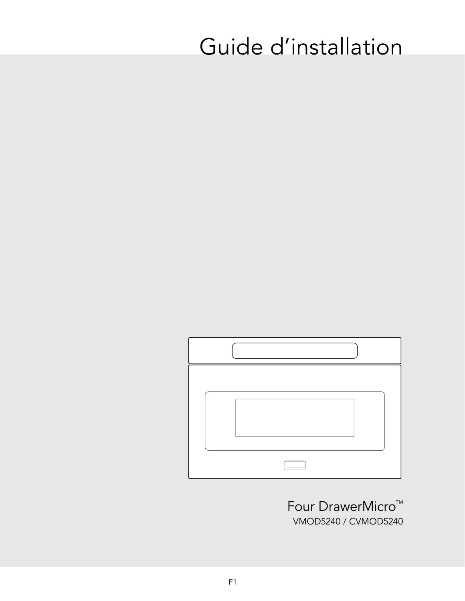# Guide d'installation



Four DrawerMicro™ VMOD5240 / CVMOD5240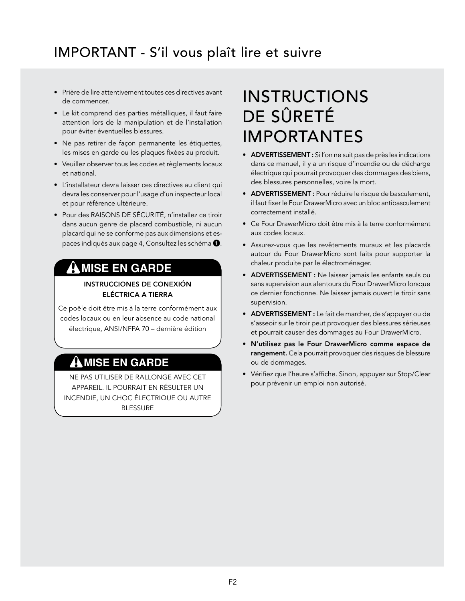## IMPORTANT - S'il vous plaît lire et suivre

- Prière de lire attentivement toutes ces directives avant de commencer.
- Le kit comprend des parties métalliques, il faut faire attention lors de la manipulation et de l'installation pour éviter éventuelles blessures.
- Ne pas retirer de façon permanente les étiquettes, les mises en garde ou les plaques fixées au produit.
- Veuillez observer tous les codes et règlements locaux et national.
- L'installateur devra laisser ces directives au client qui devra les conserver pour l'usage d'un inspecteur local et pour référence ultérieure.
- Pour des RAISONS DE SÉCURITÉ, n'installez ce tiroir dans aucun genre de placard combustible, ni aucun placard qui ne se conforme pas aux dimensions et espaces indiqués aux page 4, Consultez les schéma  $\bigcirc$ .

#### **MISE EN GARDE**

INSTRUCCIONES DE CONEXIÓN ELÉCTRICA A TIERRA

Ce poêle doit être mis à la terre conformément aux codes locaux ou en leur absence au code national électrique, ANSI/NFPA 70 – dernière édition

#### **MISE EN GARDE**

NE PAS UTILISER DE RALLONGE AVEC CET APPAREIL. IL POURRAIT EN RÉSULTER UN INCENDIE, UN CHOC ÉLECTRIQUE OU AUTRE BLESSURE

## INSTRUCTIONS DE SÛRETÉ IMPORTANTES

- ADVERTISSEMENT : Si l'on ne suit pas de près les indications dans ce manuel, il y a un risque d'incendie ou de décharge électrique qui pourrait provoquer des dommages des biens, des blessures personnelles, voire la mort.
- ADVERTISSEMENT : Pour réduire le risque de basculement, il faut fixer le Four DrawerMicro avec un bloc antibasculement correctement installé.
- Ce Four DrawerMicro doit être mis à la terre conformément aux codes locaux.
- Assurez-vous que les revêtements muraux et les placards autour du Four DrawerMicro sont faits pour supporter la chaleur produite par le électroménager.
- ADVERTISSEMENT : Ne laissez jamais les enfants seuls ou sans supervision aux alentours du Four DrawerMicro lorsque ce dernier fonctionne. Ne laissez jamais ouvert le tiroir sans supervision.
- ADVERTISSEMENT : Le fait de marcher, de s'appuyer ou de s'asseoir sur le tiroir peut provoquer des blessures sérieuses et pourrait causer des dommages au Four DrawerMicro.
- N'utilisez pas le Four DrawerMicro comme espace de rangement. Cela pourrait provoquer des risques de blessure ou de dommages.
- Vérifiez que l'heure s'affiche. Sinon, appuyez sur Stop/Clear pour prévenir un emploi non autorisé.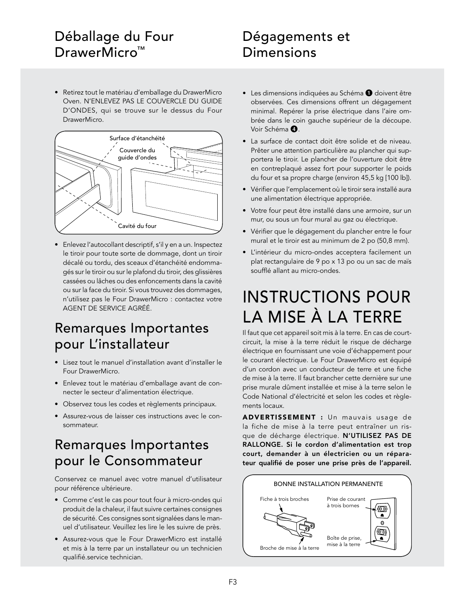### Déballage du Four DrawerMicro<sup>™</sup>

### Dégagements et Dimensions

• Retirez tout le matériau d'emballage du DrawerMicro Oven. N'ENLEVEZ PAS LE COUVERCLE DU GUIDE D'ONDES, qui se trouve sur le dessus du Four DrawerMicro.



• Enlevez l'autocollant descriptif, s'il y en a un. Inspectez le tiroir pour toute sorte de dommage, dont un tiroir décalé ou tordu, des sceaux d'étanchéité endommagés sur le tiroir ou sur le plafond du tiroir, des glissières cassées ou lâches ou des enfoncements dans la cavité ou sur la face du tiroir. Si vous trouvez des dommages, n'utilisez pas le Four DrawerMicro : contactez votre AGENT DE SERVICE AGRÉÉ.

#### Remarques Importantes pour L'installateur

- Lisez tout le manuel d'installation avant d'installer le Four DrawerMicro.
- Enlevez tout le matériau d'emballage avant de connecter le secteur d'alimentation électrique.
- Observez tous les codes et règlements principaux.
- Assurez-vous de laisser ces instructions avec le consommateur.

#### Remarques Importantes pour le Consommateur

Conservez ce manuel avec votre manuel d'utilisateur pour référence ultérieure.

- Comme c'est le cas pour tout four à micro-ondes qui produit de la chaleur, il faut suivre certaines consignes de sécurité. Ces consignes sont signalées dans le manuel d'utilisateur. Veuillez les lire le les suivre de près.
- Assurez-vous que le Four DrawerMicro est installé et mis à la terre par un installateur ou un technicien qualifié.service technician.
- Les dimensions indiquées au Schéma  $\bigcirc$  doivent être observées. Ces dimensions offrent un dégagement minimal. Repérer la prise électrique dans l'aire ombrée dans le coin gauche supérieur de la découpe. Voir Schéma  $\bullet$ .
- La surface de contact doit être solide et de niveau. Prêter une attention particulière au plancher qui supportera le tiroir. Le plancher de l'ouverture doit être en contreplaqué assez fort pour supporter le poids du four et sa propre charge (environ 45,5 kg [100 lb]).
- Vérifier que l'emplacement où le tiroir sera installé aura une alimentation électrique appropriée.
- Votre four peut être installé dans une armoire, sur un mur, ou sous un four mural au gaz ou électrique.
- Vérifier que le dégagement du plancher entre le four mural et le tiroir est au minimum de 2 po (50,8 mm).
- L'intérieur du micro-ondes acceptera facilement un plat rectangulaire de 9 po x 13 po ou un sac de maïs soufflé allant au micro-ondes.

## INSTRUCTIONS POUR LA MISE À LA TERRE

Il faut que cet appareil soit mis à la terre. En cas de courtcircuit, la mise à la terre réduit le risque de décharge électrique en fournissant une voie d'échappement pour le courant électrique. Le Four DrawerMicro est équipé d'un cordon avec un conducteur de terre et une fiche de mise à la terre. Il faut brancher cette dernière sur une prise murale dûment installée et mise à la terre selon le Code National d'électricité et selon les codes et règlements locaux.

ADVERTISSEMENT : Un mauvais usage de la fiche de mise à la terre peut entraîner un risque de décharge électrique. N'UTILISEZ PAS DE RALLONGE. Si le cordon d'alimentation est trop court, demander à un électricien ou un réparateur qualifié de poser une prise près de l'appareil.

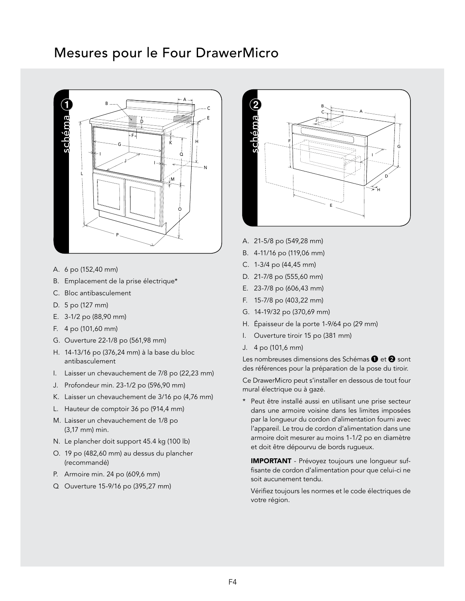#### Mesures pour le Four DrawerMicro



- A. 6 po (152,40 mm)
- B. Emplacement de la prise électrique\*
- C. Bloc antibasculement
- D. 5 po (127 mm)
- E. 3-1/2 po (88,90 mm)
- F. 4 po (101,60 mm)
- G. Ouverture 22-1/8 po (561,98 mm)
- H. 14-13/16 po (376,24 mm) à la base du bloc antibasculement
- I. Laisser un chevauchement de 7/8 po (22,23 mm)
- J. Profondeur min. 23-1/2 po (596,90 mm)
- K. Laisser un chevauchement de 3/16 po (4,76 mm)
- L. Hauteur de comptoir 36 po (914,4 mm)
- M. Laisser un chevauchement de 1/8 po (3,17 mm) min.
- N. Le plancher doit support 45.4 kg (100 lb)
- O. 19 po (482,60 mm) au dessus du plancher (recommandé)
- P. Armoire min. 24 po (609,6 mm)
- Q Ouverture 15-9/16 po (395,27 mm)



- A. 21-5/8 po (549,28 mm)
- B. 4-11/16 po (119,06 mm)
- C. 1-3/4 po (44,45 mm)
- D. 21-7/8 po (555,60 mm)
- E. 23-7/8 po (606,43 mm)
- F. 15-7/8 po (403,22 mm)
- G. 14-19/32 po (370,69 mm)
- H. Épaisseur de la porte 1-9/64 po (29 mm)
- I. Ouverture tiroir 15 po (381 mm)
- J. 4 po (101,6 mm)

Les nombreuses dimensions des Schémas  $\mathbf 0$  et  $\mathbf 2$  sont des références pour la préparation de la pose du tiroir.

Ce DrawerMicro peut s'installer en dessous de tout four mural électrique ou à gazé.

Peut être installé aussi en utilisant une prise secteur dans une armoire voisine dans les limites imposées par la longueur du cordon d'alimentation fourni avec l'appareil. Le trou de cordon d'alimentation dans une armoire doit mesurer au moins 1-1/2 po en diamètre et doit être dépourvu de bords rugueux.

IMPORTANT - Prévoyez toujours une longueur suffisante de cordon d'alimentation pour que celui-ci ne soit aucunement tendu.

Vérifiez toujours les normes et le code électriques de votre région.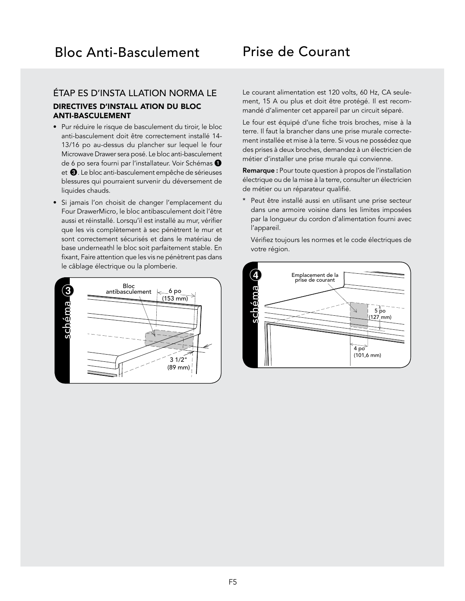#### Prise de Courant

#### ÉTAP ES D'INSTA LLATION NORMA LE

#### DIRECTIVES D'INSTALL ATION DU BLOC ANTI-BASCULEMENT

- Pur réduire le risque de basculement du tiroir, le bloc anti-basculement doit être correctement installé 14- 13/16 po au-dessus du plancher sur lequel le four Microwave Drawer sera posé. Le bloc anti-basculement de 6 po sera fourni par l'installateur. Voir Schémas <sup>1</sup> et  $\bigcirc$ . Le bloc anti-basculement empêche de sérieuses blessures qui pourraient survenir du déversement de liquides chauds.
- Si jamais l'on choisit de changer l'emplacement du Four DrawerMicro, le bloc antibasculement doit l'être aussi et réinstallé. Lorsqu'il est installé au mur, vérifier que les vis complètement à sec pénètrent le mur et sont correctement sécurisés et dans le matériau de base underneathl le bloc soit parfaitement stable. En fixant, Faire attention que les vis ne pénètrent pas dans le câblage électrique ou la plomberie.



Le courant alimentation est 120 volts, 60 Hz, CA seulement, 15 A ou plus et doit être protégé. Il est recommandé d'alimenter cet appareil par un circuit séparé.

Le four est équipé d'une fiche trois broches, mise à la terre. Il faut la brancher dans une prise murale correctement installée et mise à la terre. Si vous ne possédez que des prises à deux broches, demandez à un électricien de métier d'installer une prise murale qui convienne.

Remarque : Pour toute question à propos de l'installation électrique ou de la mise à la terre, consulter un électricien de métier ou un réparateur qualifié.

\* Peut être installé aussi en utilisant une prise secteur dans une armoire voisine dans les limites imposées par la longueur du cordon d'alimentation fourni avec l'appareil.

Vérifiez toujours les normes et le code électriques de votre région.

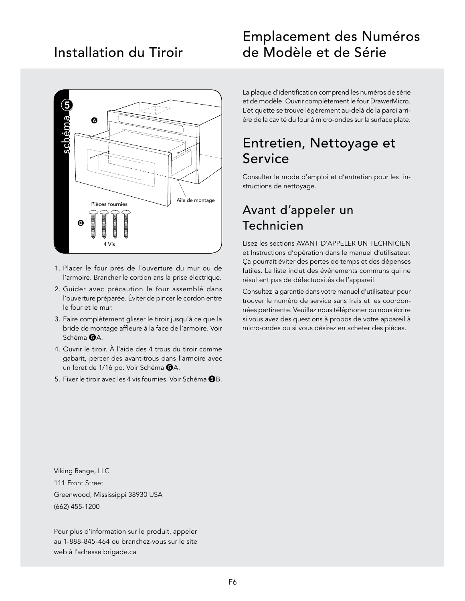#### Installation du Tiroir



- 1. Placer le four près de l'ouverture du mur ou de l'armoire. Brancher le cordon ans la prise électrique.
- 2. Guider avec précaution le four assemblé dans l'ouverture préparée. Éviter de pincer le cordon entre le four et le mur.
- 3. Faire complètement glisser le tiroir jusqu'à ce que la bride de montage affleure à la face de l'armoire. Voir Schéma **6**A
- 4. Ouvrir le tiroir. À l'aide des 4 trous du tiroir comme gabarit, percer des avant-trous dans l'armoire avec un foret de 1/16 po. Voir Schéma  $\Theta$ A.
- 5. Fixer le tiroir avec les 4 vis fournies. Voir Schéma <sup>6</sup>B.

#### Emplacement des Numéros de Modèle et de Série

La plaque d'identification comprend les numéros de série et de modèle. Ouvrir complètement le four DrawerMicro. L'étiquette se trouve légèrement au-delà de la paroi arrière de la cavité du four à micro-ondes sur la surface plate.

#### Entretien, Nettoyage et Service

Consulter le mode d'emploi et d'entretien pour les instructions de nettoyage.

#### Avant d'appeler un Technicien

Lisez les sections AVANT D'APPELER UN TECHNICIEN et Instructions d'opération dans le manuel d'utilisateur. Ça pourrait éviter des pertes de temps et des dépenses futiles. La liste inclut des événements communs qui ne résultent pas de défectuosités de l'appareil.

Consultez la garantie dans votre manuel d'utilisateur pour trouver le numéro de service sans frais et les coordonnées pertinente. Veuillez nous téléphoner ou nous écrire si vous avez des questions à propos de votre appareil à micro-ondes ou si vous désirez en acheter des pièces.

Viking Range, LLC 111 Front Street Greenwood, Mississippi 38930 USA (662) 455-1200

Pour plus d'information sur le produit, appeler au 1-888-845-464 ou branchez-vous sur le site web à l'adresse brigade.ca